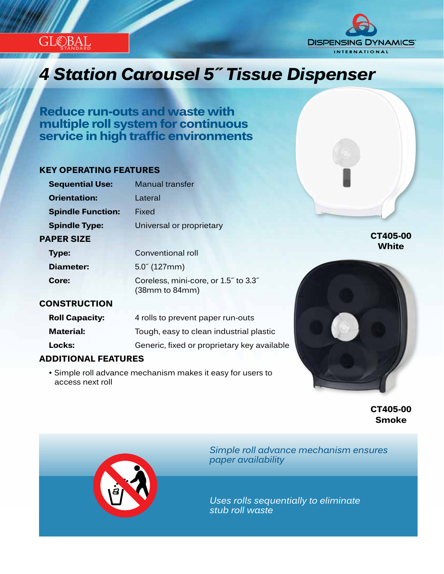



# *Innovation...Design...Solutions 4 Station Carousel 5˝ Tissue Dispenser*

**Reduce run-outs and waste with multiple roll system for continuous service in high traffic environments**

#### **KEY OPERATING FEATURES**

| <b>Sequential Use:</b>   | <b>Manual transfer</b>                                                          |
|--------------------------|---------------------------------------------------------------------------------|
| <b>Orientation:</b>      | I ateral                                                                        |
| <b>Spindle Function:</b> | Fixed                                                                           |
| <b>Spindle Type:</b>     | Universal or proprietary                                                        |
| <b>PAPER SIZE</b>        |                                                                                 |
| Type:                    | Conventional roll                                                               |
| <b>Diameter:</b>         | $5.0^{7}$ (127mm)                                                               |
| Core:                    | Coreless, mini-core, or 1.5" to 3.3"<br>(38 <sub>mm</sub> to 84 <sub>mm</sub> ) |

#### **CONSTRUCTION**

| <b>Roll Capacity:</b> | 4 rolls to prevent paper run-outs           |
|-----------------------|---------------------------------------------|
| <b>Material:</b>      | Tough, easy to clean industrial plastic     |
| Locks:                | Generic, fixed or proprietary key available |

### **ADDITIONAL FEATURES**

 • Simple roll advance mechanism makes it easy for users to access next roll



**CT405-00 Smoke**

**CT405-00 White**



*Simple roll advance mechanism ensures paper availability*

*Uses rolls sequentially to eliminate stub roll waste*